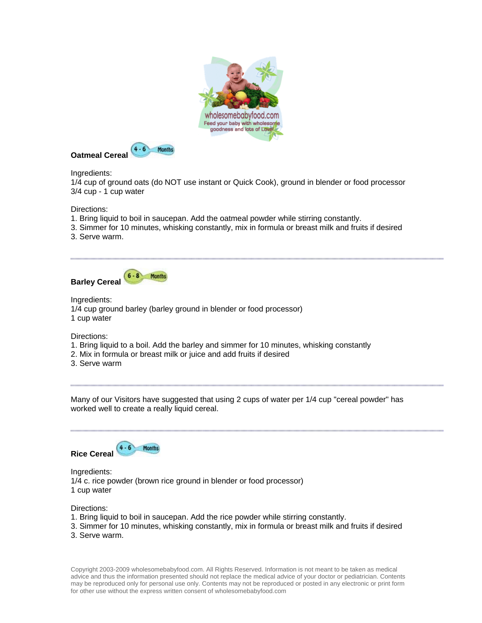



Ingredients:

1/4 cup of ground oats (do NOT use instant or Quick Cook), ground in blender or food processor 3/4 cup - 1 cup water

Directions:

- 1. Bring liquid to boil in saucepan. Add the oatmeal powder while stirring constantly.
- 3. Simmer for 10 minutes, whisking constantly, mix in formula or breast milk and fruits if desired
- 3. Serve warm.



Ingredients: 1/4 cup ground barley (barley ground in blender or food processor) 1 cup water

Directions:

- 1. Bring liquid to a boil. Add the barley and simmer for 10 minutes, whisking constantly
- 2. Mix in formula or breast milk or juice and add fruits if desired
- 3. Serve warm

Many of our Visitors have suggested that using 2 cups of water per 1/4 cup "cereal powder" has worked well to create a really liquid cereal.

0000000000000000000000000000000000



Ingredients: 1/4 c. rice powder (brown rice ground in blender or food processor) 1 cup water

Directions:

- 1. Bring liquid to boil in saucepan. Add the rice powder while stirring constantly.
- 3. Simmer for 10 minutes, whisking constantly, mix in formula or breast milk and fruits if desired
- 3. Serve warm.

Copyright 2003-2009 wholesomebabyfood.com. All Rights Reserved. Information is not meant to be taken as medical advice and thus the information presented should not replace the medical advice of your doctor or pediatrician. Contents may be reproduced only for personal use only. Contents may not be reproduced or posted in any electronic or print form for other use without the express written consent of wholesomebabyfood.com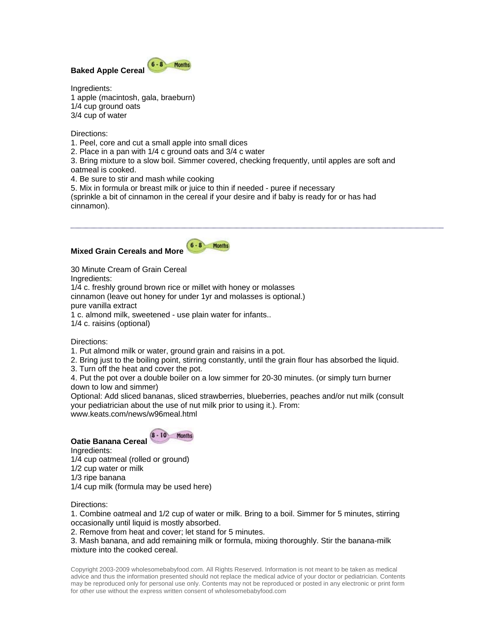

Ingredients: 1 apple (macintosh, gala, braeburn) 1/4 cup ground oats 3/4 cup of water

Directions:

1. Peel, core and cut a small apple into small dices

2. Place in a pan with 1/4 c ground oats and 3/4 c water

3. Bring mixture to a slow boil. Simmer covered, checking frequently, until apples are soft and oatmeal is cooked.

4. Be sure to stir and mash while cooking

5. Mix in formula or breast milk or juice to thin if needed - puree if necessary

(sprinkle a bit of cinnamon in the cereal if your desire and if baby is ready for or has had cinnamon).

## **Mixed Grain Cereals and More**



30 Minute Cream of Grain Cereal

Ingredients:

1/4 c. freshly ground brown rice or millet with honey or molasses cinnamon (leave out honey for under 1yr and molasses is optional.) pure vanilla extract 1 c. almond milk, sweetened - use plain water for infants.. 1/4 c. raisins (optional)

Directions:

1. Put almond milk or water, ground grain and raisins in a pot.

2. Bring just to the boiling point, stirring constantly, until the grain flour has absorbed the liquid.

3. Turn off the heat and cover the pot.

4. Put the pot over a double boiler on a low simmer for 20-30 minutes. (or simply turn burner down to low and simmer)

Optional: Add sliced bananas, sliced strawberries, blueberries, peaches and/or nut milk (consult your pediatrician about the use of nut milk prior to using it.). From: www.keats.com/news/w96meal.html

 $8 - 10$  Months

**Oatie Banana Cereal**  Ingredients:

1/4 cup oatmeal (rolled or ground)

1/2 cup water or milk

1/3 ripe banana

1/4 cup milk (formula may be used here)

Directions:

1. Combine oatmeal and 1/2 cup of water or milk. Bring to a boil. Simmer for 5 minutes, stirring occasionally until liquid is mostly absorbed.

2. Remove from heat and cover; let stand for 5 minutes.

3. Mash banana, and add remaining milk or formula, mixing thoroughly. Stir the banana-milk mixture into the cooked cereal.

Copyright 2003-2009 wholesomebabyfood.com. All Rights Reserved. Information is not meant to be taken as medical advice and thus the information presented should not replace the medical advice of your doctor or pediatrician. Contents may be reproduced only for personal use only. Contents may not be reproduced or posted in any electronic or print form for other use without the express written consent of wholesomebabyfood.com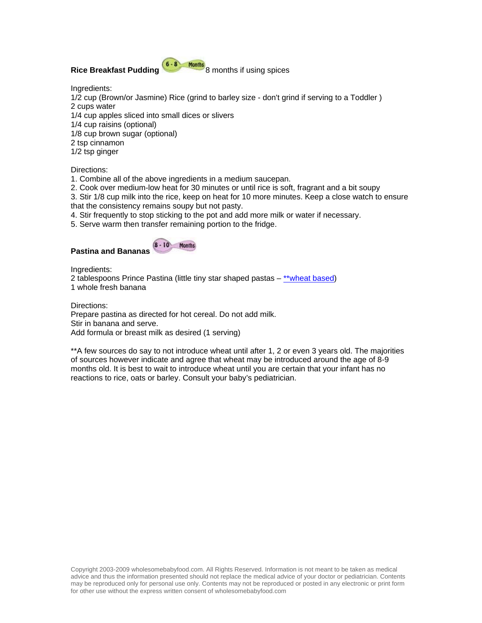# **Rice Breakfast Pudding** 8 months if using spices

Ingredients:

1/2 cup (Brown/or Jasmine) Rice (grind to barley size - don't grind if serving to a Toddler ) 2 cups water 1/4 cup apples sliced into small dices or slivers 1/4 cup raisins (optional)

1/8 cup brown sugar (optional)

2 tsp cinnamon

1/2 tsp ginger

Directions:

1. Combine all of the above ingredients in a medium saucepan.

2. Cook over medium-low heat for 30 minutes or until rice is soft, fragrant and a bit soupy

3. Stir 1/8 cup milk into the rice, keep on heat for 10 more minutes. Keep a close watch to ensure that the consistency remains soupy but not pasty.

4. Stir frequently to stop sticking to the pot and add more milk or water if necessary.

5. Serve warm then transfer remaining portion to the fridge.

**Months** 

 $8 - 10$ 

## **Pastina and Bananas**

Ingredients:

2 tablespoons Prince Pastina (little tiny star shaped pastas – [\\*\\*wheat based\)](http://www.wholesomebabyfood.com/wheatforbaby.htm) 1 whole fresh banana

Directions:

Prepare pastina as directed for hot cereal. Do not add milk. Stir in banana and serve. Add formula or breast milk as desired (1 serving)

\*\*A few sources do say to not introduce wheat until after 1, 2 or even 3 years old. The majorities of sources however indicate and agree that wheat may be introduced around the age of 8-9 months old. It is best to wait to introduce wheat until you are certain that your infant has no reactions to rice, oats or barley. Consult your baby's pediatrician.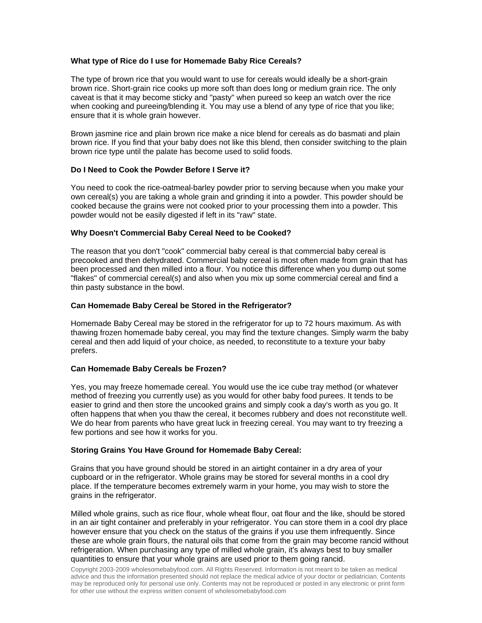## **What type of Rice do I use for Homemade Baby Rice Cereals?**

The type of brown rice that you would want to use for cereals would ideally be a short-grain brown rice. Short-grain rice cooks up more soft than does long or medium grain rice. The only caveat is that it may become sticky and "pasty" when pureed so keep an watch over the rice when cooking and pureeing/blending it. You may use a blend of any type of rice that you like; ensure that it is whole grain however.

Brown jasmine rice and plain brown rice make a nice blend for cereals as do basmati and plain brown rice. If you find that your baby does not like this blend, then consider switching to the plain brown rice type until the palate has become used to solid foods.

## **Do I Need to Cook the Powder Before I Serve it?**

You need to cook the rice-oatmeal-barley powder prior to serving because when you make your own cereal(s) you are taking a whole grain and grinding it into a powder. This powder should be cooked because the grains were not cooked prior to your processing them into a powder. This powder would not be easily digested if left in its "raw" state.

## **Why Doesn't Commercial Baby Cereal Need to be Cooked?**

The reason that you don't "cook" commercial baby cereal is that commercial baby cereal is precooked and then dehydrated. Commercial baby cereal is most often made from grain that has been processed and then milled into a flour. You notice this difference when you dump out some "flakes" of commercial cereal(s) and also when you mix up some commercial cereal and find a thin pasty substance in the bowl.

## **Can Homemade Baby Cereal be Stored in the Refrigerator?**

Homemade Baby Cereal may be stored in the refrigerator for up to 72 hours maximum. As with thawing frozen homemade baby cereal, you may find the texture changes. Simply warm the baby cereal and then add liquid of your choice, as needed, to reconstitute to a texture your baby prefers.

## **Can Homemade Baby Cereals be Frozen?**

Yes, you may freeze homemade cereal. You would use the ice cube tray method (or whatever method of freezing you currently use) as you would for other baby food purees. It tends to be easier to grind and then store the uncooked grains and simply cook a day's worth as you go. It often happens that when you thaw the cereal, it becomes rubbery and does not reconstitute well. We do hear from parents who have great luck in freezing cereal. You may want to try freezing a few portions and see how it works for you.

## **Storing Grains You Have Ground for Homemade Baby Cereal:**

Grains that you have ground should be stored in an airtight container in a dry area of your cupboard or in the refrigerator. Whole grains may be stored for several months in a cool dry place. If the temperature becomes extremely warm in your home, you may wish to store the grains in the refrigerator.

Milled whole grains, such as rice flour, whole wheat flour, oat flour and the like, should be stored in an air tight container and preferably in your refrigerator. You can store them in a cool dry place however ensure that you check on the status of the grains if you use them infrequently. Since these are whole grain flours, the natural oils that come from the grain may become rancid without refrigeration. When purchasing any type of milled whole grain, it's always best to buy smaller quantities to ensure that your whole grains are used prior to them going rancid.

Copyright 2003-2009 wholesomebabyfood.com. All Rights Reserved. Information is not meant to be taken as medical advice and thus the information presented should not replace the medical advice of your doctor or pediatrician. Contents may be reproduced only for personal use only. Contents may not be reproduced or posted in any electronic or print form for other use without the express written consent of wholesomebabyfood.com